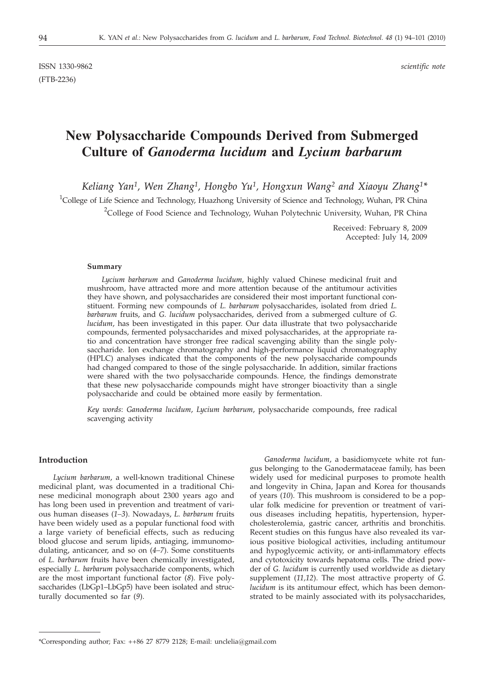ISSN 1330-9862 *scientific note* (FTB-2236)

# **New Polysaccharide Compounds Derived from Submerged Culture of** *Ganoderma lucidum* **and** *Lycium barbarum*

*Keliang Yan1, Wen Zhang1, Hongbo Yu1, Hongxun Wang2 and Xiaoyu Zhang1\**

<sup>1</sup>College of Life Science and Technology, Huazhong University of Science and Technology, Wuhan, PR China <sup>2</sup>College of Food Science and Technology, Wuhan Polytechnic University, Wuhan, PR China

> Received: February 8, 2009 Accepted: July 14, 2009

#### **Summary**

*Lycium barbarum* and *Ganoderma lucidum,* highly valued Chinese medicinal fruit and mushroom, have attracted more and more attention because of the antitumour activities they have shown, and polysaccharides are considered their most important functional constituent. Forming new compounds of *L. barbarum* polysaccharides, isolated from dried *L. barbarum* fruits, and *G. lucidum* polysaccharides, derived from a submerged culture of *G. lucidum*, has been investigated in this paper. Our data illustrate that two polysaccharide compounds, fermented polysaccharides and mixed polysaccharides, at the appropriate ratio and concentration have stronger free radical scavenging ability than the single polysaccharide. Ion exchange chromatography and high-performance liquid chromatography (HPLC) analyses indicated that the components of the new polysaccharide compounds had changed compared to those of the single polysaccharide. In addition, similar fractions were shared with the two polysaccharide compounds. Hence, the findings demonstrate that these new polysaccharide compounds might have stronger bioactivity than a single polysaccharide and could be obtained more easily by fermentation.

*Key words*: *Ganoderma lucidum*, *Lycium barbarum*, polysaccharide compounds, free radical scavenging activity

# **Introduction**

*Lycium barbarum*, a well-known traditional Chinese medicinal plant, was documented in a traditional Chinese medicinal monograph about 2300 years ago and has long been used in prevention and treatment of various human diseases (*1–3*). Nowadays, *L. barbarum* fruits have been widely used as a popular functional food with a large variety of beneficial effects, such as reducing blood glucose and serum lipids, antiaging, immunomodulating, anticancer, and so on (*4–7*). Some constituents of *L. barbarum* fruits have been chemically investigated, especially *L. barbarum* polysaccharide components, which are the most important functional factor (*8*). Five polysaccharides (LbGp1–LbGp5) have been isolated and structurally documented so far (*9*).

*Ganoderma lucidum*, a basidiomycete white rot fungus belonging to the Ganodermataceae family, has been widely used for medicinal purposes to promote health and longevity in China, Japan and Korea for thousands of years (*10*). This mushroom is considered to be a popular folk medicine for prevention or treatment of various diseases including hepatitis, hypertension, hypercholesterolemia, gastric cancer, arthritis and bronchitis. Recent studies on this fungus have also revealed its various positive biological activities, including antitumour and hypoglycemic activity, or anti-inflammatory effects and cytotoxicity towards hepatoma cells. The dried powder of *G. lucidum* is currently used worldwide as dietary supplement (*11,12*). The most attractive property of *G. lucidum* is its antitumour effect, which has been demonstrated to be mainly associated with its polysaccharides,

<sup>\*</sup>Corresponding author; Fax: ++86 27 8779 2128; E-mail: unclelia@gmail.com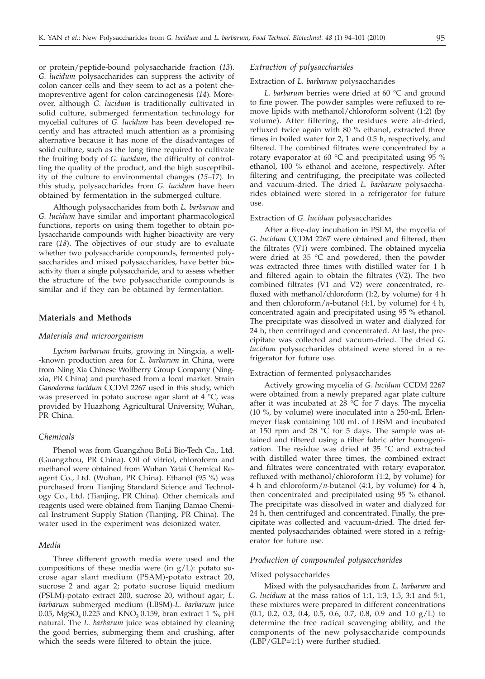or protein/peptide-bound polysaccharide fraction (*13*). *G. lucidum* polysaccharides can suppress the activity of colon cancer cells and they seem to act as a potent chemopreventive agent for colon carcinogenesis (*14*). Moreover, although *G. lucidum* is traditionally cultivated in solid culture, submerged fermentation technology for mycelial cultures of *G. lucidum* has been developed recently and has attracted much attention as a promising alternative because it has none of the disadvantages of solid culture, such as the long time required to cultivate the fruiting body of *G. lucidum*, the difficulty of controlling the quality of the product, and the high susceptibility of the culture to environmental changes (*15–17*). In this study, polysaccharides from *G. lucidum* have been obtained by fermentation in the submerged culture.

Although polysaccharides from both *L. barbarum* and *G. lucidum* have similar and important pharmacological functions, reports on using them together to obtain polysaccharide compounds with higher bioactivity are very rare (*18*). The objectives of our study are to evaluate whether two polysaccharide compounds, fermented polysaccharides and mixed polysaccharides, have better bioactivity than a single polysaccharide, and to assess whether the structure of the two polysaccharide compounds is similar and if they can be obtained by fermentation.

# **Materials and Methods**

#### *Materials and microorganism*

*Lycium barbarum* fruits, growing in Ningxia, a well- -known production area for *L. barbarum* in China, were from Ning Xia Chinese Wolfberry Group Company (Ningxia, PR China) and purchased from a local market. Strain *Ganoderma lucidum* CCDM 2267 used in this study, which was preserved in potato sucrose agar slant at 4 °C, was provided by Huazhong Agricultural University, Wuhan, PR China.

# *Chemicals*

Phenol was from Guangzhou BoLi Bio-Tech Co., Ltd. (Guangzhou, PR China). Oil of vitriol, chloroform and methanol were obtained from Wuhan Yatai Chemical Reagent Co., Ltd. (Wuhan, PR China). Ethanol (95 %) was purchased from Tianjing Standard Science and Technology Co., Ltd. (Tianjing, PR China). Other chemicals and reagents used were obtained from Tianjing Damao Chemical Instrument Supply Station (Tianjing, PR China). The water used in the experiment was deionized water.

# *Media*

Three different growth media were used and the compositions of these media were (in g/L): potato sucrose agar slant medium (PSAM)-potato extract 20, sucrose 2 and agar 2; potato sucrose liquid medium (PSLM)-potato extract 200, sucrose 20, without agar; *L. barbarum* submerged medium (LBSM)-*L. barbarum* juice 0.05, MgSO<sub>4</sub> 0.225 and KNO<sub>3</sub> 0.159, bran extract 1 %, pH natural. The *L. barbarum* juice was obtained by cleaning the good berries, submerging them and crushing, after which the seeds were filtered to obtain the juice.

#### *Extraction of polysaccharides*

#### Extraction of *L. barbarum* polysaccharides

*L. barbarum* berries were dried at 60 °C and ground to fine power. The powder samples were refluxed to remove lipids with methanol/chloroform solvent (1:2) (by volume). After filtering, the residues were air-dried, refluxed twice again with 80 % ethanol, extracted three times in boiled water for 2, 1 and 0.5 h, respectively, and filtered. The combined filtrates were concentrated by a rotary evaporator at 60  $^{\circ}$ C and precipitated using 95 % ethanol, 100 % ethanol and acetone, respectively. After filtering and centrifuging, the precipitate was collected and vacuum-dried. The dried *L. barbarum* polysaccharides obtained were stored in a refrigerator for future use.

#### Extraction of *G. lucidum* polysaccharides

After a five-day incubation in PSLM, the mycelia of *G. lucidum* CCDM 2267 were obtained and filtered, then the filtrates (V1) were combined. The obtained mycelia were dried at 35 °C and powdered, then the powder was extracted three times with distilled water for 1 h and filtered again to obtain the filtrates (V2). The two combined filtrates (V1 and V2) were concentrated, refluxed with methanol/chloroform (1:2, by volume) for 4 h and then chloroform/*n*-butanol (4:1, by volume) for 4 h, concentrated again and precipitated using 95 % ethanol. The precipitate was dissolved in water and dialyzed for 24 h, then centrifuged and concentrated. At last, the precipitate was collected and vacuum-dried. The dried *G. lucidum* polysaccharides obtained were stored in a refrigerator for future use.

#### Extraction of fermented polysaccharides

Actively growing mycelia of *G. lucidum* CCDM 2267 were obtained from a newly prepared agar plate culture after it was incubated at  $28 \text{ °C}$  for 7 days. The mycelia (10 %, by volume) were inoculated into a 250-mL Erlenmeyer flask containing 100 mL of LBSM and incubated at 150 rpm and 28  $\degree$ C for 5 days. The sample was attained and filtered using a filter fabric after homogenization. The residue was dried at 35 °C and extracted with distilled water three times, the combined extract and filtrates were concentrated with rotary evaporator, refluxed with methanol/chloroform (1:2, by volume) for 4 h and chloroform/*n*-butanol (4:1, by volume) for 4 h, then concentrated and precipitated using 95 % ethanol. The precipitate was dissolved in water and dialyzed for 24 h, then centrifuged and concentrated. Finally, the precipitate was collected and vacuum-dried. The dried fermented polysaccharides obtained were stored in a refrigerator for future use.

#### *Production of compounded polysaccharides*

# Mixed polysaccharides

Mixed with the polysaccharides from *L. barbarum* and *G. lucidum* at the mass ratios of 1:1, 1:3, 1:5, 3:1 and 5:1, these mixtures were prepared in different concentrations (0.1, 0.2, 0.3, 0.4, 0.5, 0.6, 0.7, 0.8, 0.9 and 1.0 g/L) to determine the free radical scavenging ability, and the components of the new polysaccharide compounds (LBP/GLP=1:1) were further studied.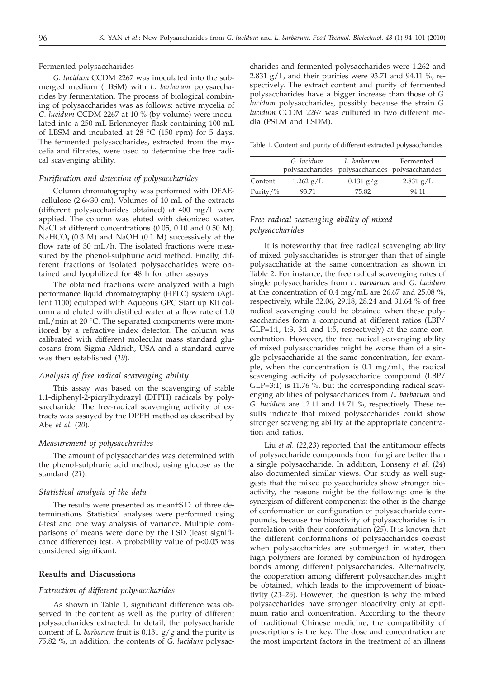Fermented polysaccharides

*G. lucidum* CCDM 2267 was inoculated into the submerged medium (LBSM) with *L. barbarum* polysaccharides by fermentation. The process of biological combining of polysaccharides was as follows: active mycelia of *G. lucidum* CCDM 2267 at 10 % (by volume) were inoculated into a 250-mL Erlenmeyer flask containing 100 mL of LBSM and incubated at 28 °C (150 rpm) for 5 days. The fermented polysaccharides, extracted from the mycelia and filtrates, were used to determine the free radical scavenging ability.

## *Purification and detection of polysaccharides*

Column chromatography was performed with DEAE- -cellulose ( $2.6 \times 30$  cm). Volumes of 10 mL of the extracts (different polysaccharides obtained) at 400 mg/L were applied. The column was eluted with deionized water, NaCl at different concentrations (0.05, 0.10 and 0.50 M),  $NaHCO<sub>3</sub>$  (0.3 M) and NaOH (0.1 M) successively at the flow rate of 30 mL/h. The isolated fractions were measured by the phenol-sulphuric acid method. Finally, different fractions of isolated polysaccharides were obtained and lyophilized for 48 h for other assays.

The obtained fractions were analyzed with a high performance liquid chromatography (HPLC) system (Agilent 1100) equipped with Aqueous GPC Start up Kit column and eluted with distilled water at a flow rate of 1.0 mL/min at 20 °C. The separated components were monitored by a refractive index detector. The column was calibrated with different molecular mass standard glucosans from Sigma-Aldrich, USA and a standard curve was then established (*19*).

## *Analysis of free radical scavenging ability*

This assay was based on the scavenging of stable 1,1-diphenyl-2-picrylhydrazyl (DPPH) radicals by polysaccharide. The free-radical scavenging activity of extracts was assayed by the DPPH method as described by Abe *et al*. (*20*).

#### *Measurement of polysaccharides*

The amount of polysaccharides was determined with the phenol-sulphuric acid method, using glucose as the standard (*21*).

#### *Statistical analysis of the data*

The results were presented as mean±S.D. of three determinations. Statistical analyses were performed using *t*-test and one way analysis of variance. Multiple comparisons of means were done by the LSD (least significance difference) test. A probability value of  $p<0.05$  was considered significant.

#### **Results and Discussions**

#### *Extraction of different polysaccharides*

As shown in Table 1, significant difference was observed in the content as well as the purity of different polysaccharides extracted. In detail, the polysaccharide content of *L. barbarum* fruit is 0.131 g/g and the purity is 75.82 %, in addition, the contents of *G. lucidum* polysac-

charides and fermented polysaccharides were 1.262 and 2.831 g/L, and their purities were 93.71 and 94.11 %, respectively. The extract content and purity of fermented polysaccharides have a bigger increase than those of *G. lucidum* polysaccharides, possibly because the strain *G. lucidum* CCDM 2267 was cultured in two different media (PSLM and LSDM)*.*

Table 1. Content and purity of different extracted polysaccharides

|              | G. lucidum  | L. barbarum<br>polysaccharides polysaccharides polysaccharides | Fermented   |
|--------------|-------------|----------------------------------------------------------------|-------------|
| Content      | $1.262$ g/L | $0.131$ g/g                                                    | $2.831$ g/L |
| Purity/ $\%$ | 93.71       | 75.82                                                          | 94.11       |

# *Free radical scavenging ability of mixed polysaccharides*

It is noteworthy that free radical scavenging ability of mixed polysaccharides is stronger than that of single polysaccharide at the same concentration as shown in Table 2. For instance, the free radical scavenging rates of single polysaccharides from *L. barbarum* and *G. lucidum* at the concentration of 0.4 mg/mL are 26.67 and 25.08 %, respectively, while 32.06, 29.18, 28.24 and 31.64 % of free radical scavenging could be obtained when these polysaccharides form a compound at different ratios (LBP/  $GLP=1:1$ , 1:3, 3:1 and 1:5, respectively) at the same concentration. However, the free radical scavenging ability of mixed polysaccharides might be worse than of a single polysaccharide at the same concentration, for example, when the concentration is 0.1 mg/mL, the radical scavenging activity of polysaccharide compound (LBP/ GLP=3:1) is 11.76 %, but the corresponding radical scavenging abilities of polysaccharides from *L. barbarum* and *G. lucidum* are 12.11 and 14.71 %, respectively. These results indicate that mixed polysaccharides could show stronger scavenging ability at the appropriate concentration and ratios.

Liu *et al.* (*22,23*) reported that the antitumour effects of polysaccharide compounds from fungi are better than a single polysaccharide. In addition, Lonseny *et al.* (*24*) also documented similar views. Our study as well suggests that the mixed polysaccharides show stronger bioactivity, the reasons might be the following: one is the synergism of different components; the other is the change of conformation or configuration of polysaccharide compounds, because the bioactivity of polysaccharides is in correlation with their conformation (*25*). It is known that the different conformations of polysaccharides coexist when polysaccharides are submerged in water, then high polymers are formed by combination of hydrogen bonds among different polysaccharides. Alternatively, the cooperation among different polysaccharides might be obtained, which leads to the improvement of bioactivity (*23–26*). However, the question is why the mixed polysaccharides have stronger bioactivity only at optimum ratio and concentration. According to the theory of traditional Chinese medicine, the compatibility of prescriptions is the key. The dose and concentration are the most important factors in the treatment of an illness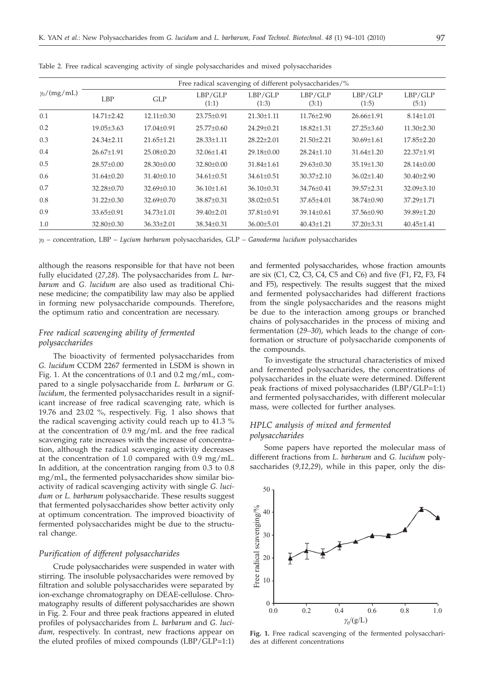|                    | Free radical scavenging of different polysaccharides/% |                  |                  |                  |                  |                  |                  |  |
|--------------------|--------------------------------------------------------|------------------|------------------|------------------|------------------|------------------|------------------|--|
| $\gamma_0/(mg/mL)$ | LBP                                                    | GLP              | LBP/GLP<br>(1:1) | LBP/GLP<br>(1:3) | LBP/GLP<br>(3:1) | LBP/GLP<br>(1:5) | LBP/GLP<br>(5:1) |  |
| 0.1                | $14.71 + 2.42$                                         | $12.11 \pm 0.30$ | $23.75 \pm 0.91$ | 21.30±1.11       | $11.76 \pm 2.90$ | $26.66 \pm 1.91$ | $8.14 \pm 1.01$  |  |
| 0.2                | $19.05 \pm 3.63$                                       | $17.04 \pm 0.91$ | $25.77 \pm 0.60$ | 24.29±0.21       | $18.82{\pm}1.31$ | $27.25 \pm 3.60$ | $11.30 \pm 2.30$ |  |
| 0.3                | $24.34 + 2.11$                                         | $21.65 + 1.21$   | $28.33 + 1.11$   | $28.22 + 2.01$   | $21.50 \pm 2.21$ | $30.69 \pm 1.61$ | $17.85 + 2.20$   |  |
| 0.4                | $26.67 + 1.91$                                         | $25.08 \pm 0.20$ | $32.06 \pm 1.41$ | $29.18 \pm 0.00$ | $28.24 + 1.10$   | $31.64 + 1.20$   | $22.37 + 1.91$   |  |
| 0.5                | $28.57+0.00$                                           | $28.30 \pm 0.00$ | 32.80±0.00       | $31.84 + 1.61$   | $29.63 \pm 0.30$ | $35.19 \pm 1.30$ | $28.14 + 0.00$   |  |
| 0.6                | $31.64 \pm 0.20$                                       | $31.40 \pm 0.10$ | $34.61 \pm 0.51$ | $34.61 \pm 0.51$ | $30.37 \pm 2.10$ | $36.02 \pm 1.40$ | $30.40 \pm 2.90$ |  |
| 0.7                | 32.28±0.70                                             | $32.69 \pm 0.10$ | $36.10 \pm 1.61$ | $36.10 \pm 0.31$ | 34.76±0.41       | 39.57±2.31       | $32.09 \pm 3.10$ |  |
| 0.8                | $31.22 \pm 0.30$                                       | $32.69 \pm 0.70$ | 38.87±0.31       | 38.02±0.51       | 37.65±4.01       | 38.74±0.90       | 37.29±1.71       |  |
| 0.9                | $33.65 \pm 0.91$                                       | $34.73 \pm 1.01$ | $39.40 \pm 2.01$ | $37.81 \pm 0.91$ | $39.14 \pm 0.61$ | $37.56 \pm 0.90$ | $39.89 + 1.20$   |  |
| 1.0                | $32.80 \pm 0.30$                                       | $36.33 \pm 2.01$ | $38.34 \pm 0.31$ | $36.00 \pm 5.01$ | $40.43 \pm 1.21$ | $37.20 \pm 3.31$ | $40.45 \pm 1.41$ |  |

Table 2. Free radical scavenging activity of single polysaccharides and mixed polysaccharides

*<sup>g</sup>*<sup>0</sup> – concentration, LBP – *Lycium barbarum* polysaccharides, GLP – *Ganoderma lucidum* polysaccharides

although the reasons responsible for that have not been fully elucidated (*27,28*). The polysaccharides from *L. barbarum* and *G. lucidum* are also used as traditional Chinese medicine; the compatibility law may also be applied in forming new polysaccharide compounds. Therefore, the optimum ratio and concentration are necessary.

# *Free radical scavenging ability of fermented polysaccharides*

The bioactivity of fermented polysaccharides from *G. lucidum* CCDM 2267 fermented in LSDM is shown in Fig. 1. At the concentrations of 0.1 and 0.2 mg/mL, compared to a single polysaccharide from *L. barbarum* or *G. lucidum*, the fermented polysaccharides result in a significant increase of free radical scavenging rate, which is 19.76 and 23.02 %, respectively. Fig. 1 also shows that the radical scavenging activity could reach up to 41.3 % at the concentration of 0.9 mg/mL and the free radical scavenging rate increases with the increase of concentration, although the radical scavenging activity decreases at the concentration of 1.0 compared with 0.9 mg/mL. In addition, at the concentration ranging from 0.3 to 0.8 mg/mL, the fermented polysaccharides show similar bioactivity of radical scavenging activity with single *G. lucidum* or *L. barbarum* polysaccharide. These results suggest that fermented polysaccharides show better activity only at optimum concentration. The improved bioactivity of fermented polysaccharides might be due to the structural change.

# *Purification of different polysaccharides*

Crude polysaccharides were suspended in water with stirring. The insoluble polysaccharides were removed by filtration and soluble polysaccharides were separated by ion-exchange chromatography on DEAE-cellulose. Chromatography results of different polysaccharides are shown in Fig. 2. Four and three peak fractions appeared in eluted profiles of polysaccharides from *L. barbarum* and *G. lucidum,* respectively. In contrast, new fractions appear on the eluted profiles of mixed compounds (LBP/GLP=1:1) and fermented polysaccharides, whose fraction amounts are six (C1, C2, C3, C4, C5 and C6) and five (F1, F2, F3, F4 and F5), respectively. The results suggest that the mixed and fermented polysaccharides had different fractions from the single polysaccharides and the reasons might be due to the interaction among groups or branched chains of polysaccharides in the process of mixing and fermentation (*29–30*), which leads to the change of conformation or structure of polysaccharide components of the compounds.

To investigate the structural characteristics of mixed and fermented polysaccharides, the concentrations of polysaccharides in the eluate were determined. Different peak fractions of mixed polysaccharides (LBP/GLP=1:1) and fermented polysaccharides, with different molecular mass, were collected for further analyses.

# *HPLC analysis of mixed and fermented polysaccharides*

Some papers have reported the molecular mass of different fractions from *L. barbarum* and *G. lucidum* polysaccharides (*9,12,29*), while in this paper, only the dis-



**Fig. 1.** Free radical scavenging of the fermented polysaccharides at different concentrations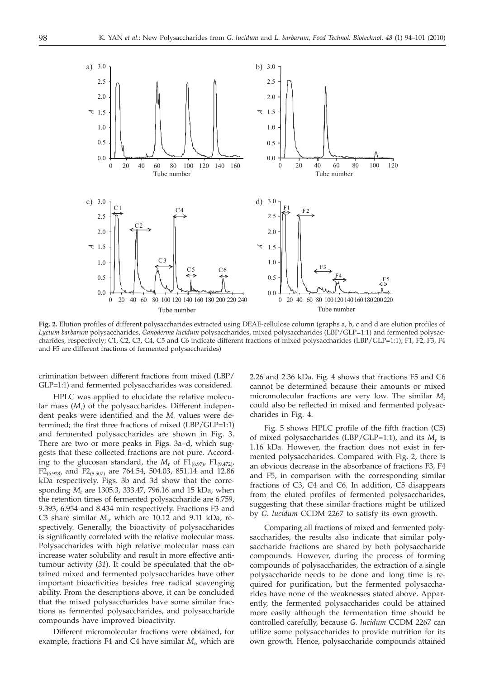

**Fig. 2.** Elution profiles of different polysaccharides extracted using DEAE-cellulose column (graphs a, b, c and d are elution profiles of *Lycium barbarum* polysaccharides, *Ganoderma lucidum* polysaccharides, mixed polysaccharides (LBP/GLP=1:1) and fermented polysaccharides, respectively; C1, C2, C3, C4, C5 and C6 indicate different fractions of mixed polysaccharides (LBP/GLP=1:1); F1, F2, F3, F4 and F5 are different fractions of fermented polysaccharides)

crimination between different fractions from mixed (LBP/ GLP=1:1) and fermented polysaccharides was considered.

HPLC was applied to elucidate the relative molecular mass (*M*r) of the polysaccharides. Different independent peaks were identified and the *M*<sup>r</sup> values were determined; the first three fractions of mixed (LBP/GLP=1:1) and fermented polysaccharides are shown in Fig. 3. There are two or more peaks in Figs. 3a–d, which suggests that these collected fractions are not pure. According to the glucosan standard, the  $M_r$  of  $F1_{(6.97)}$ ,  $F1_{(9.472)}$ ,  $F2_{(6.928)}$  and  $F2_{(8.507)}$  are 764.54, 504.03, 851.14 and 12.86 kDa respectively. Figs. 3b and 3d show that the corresponding *M*<sup>r</sup> are 1305.3, 333.47, 796.16 and 15 kDa, when the retention times of fermented polysaccharide are 6.759, 9.393, 6.954 and 8.434 min respectively. Fractions F3 and C3 share similar *M*r, which are 10.12 and 9.11 kDa, respectively. Generally, the bioactivity of polysaccharides is significantly correlated with the relative molecular mass. Polysaccharides with high relative molecular mass can increase water solubility and result in more effective antitumour activity (*31*). It could be speculated that the obtained mixed and fermented polysaccharides have other important bioactivities besides free radical scavenging ability. From the descriptions above, it can be concluded that the mixed polysaccharides have some similar fractions as fermented polysaccharides, and polysaccharide compounds have improved bioactivity.

Different micromolecular fractions were obtained, for example, fractions F4 and C4 have similar  $M_{r}$ , which are

2.26 and 2.36 kDa. Fig. 4 shows that fractions F5 and C6 cannot be determined because their amounts or mixed micromolecular fractions are very low. The similar *M*<sup>r</sup> could also be reflected in mixed and fermented polysaccharides in Fig. 4.

Fig. 5 shows HPLC profile of the fifth fraction (C5) of mixed polysaccharides (LBP/GLP=1:1), and its *M*<sup>r</sup> is 1.16 kDa. However, the fraction does not exist in fermented polysaccharides. Compared with Fig. 2, there is an obvious decrease in the absorbance of fractions F3, F4 and F5, in comparison with the corresponding similar fractions of C3, C4 and C6. In addition, C5 disappears from the eluted profiles of fermented polysaccharides, suggesting that these similar fractions might be utilized by *G. lucidum* CCDM 2267 to satisfy its own growth.

Comparing all fractions of mixed and fermented polysaccharides, the results also indicate that similar polysaccharide fractions are shared by both polysaccharide compounds. However, during the process of forming compounds of polysaccharides, the extraction of a single polysaccharide needs to be done and long time is required for purification, but the fermented polysaccharides have none of the weaknesses stated above. Apparently, the fermented polysaccharides could be attained more easily although the fermentation time should be controlled carefully, because *G. lucidum* CCDM 2267 can utilize some polysaccharides to provide nutrition for its own growth. Hence, polysaccharide compounds attained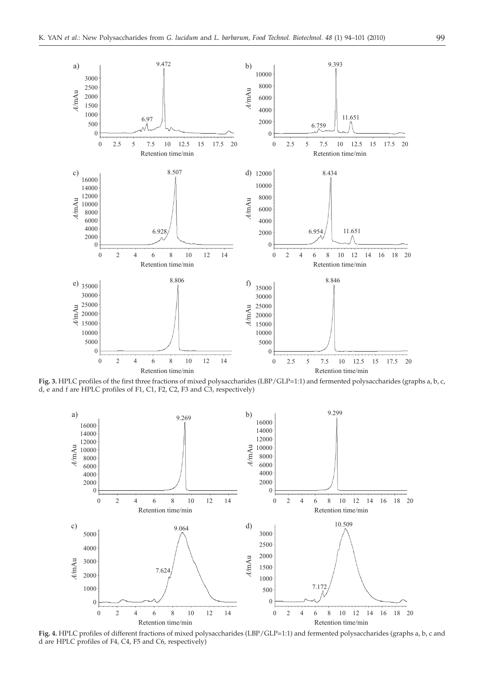

**Fig. 3.** HPLC profiles of the first three fractions of mixed polysaccharides (LBP/GLP=1:1) and fermented polysaccharides (graphs a, b, c, d, e and f are HPLC profiles of F1, C1, F2, C2, F3 and C3, respectively)



**Fig. 4.** HPLC profiles of different fractions of mixed polysaccharides (LBP/GLP=1:1) and fermented polysaccharides (graphs a, b, c and d are HPLC profiles of F4, C4, F5 and C6, respectively)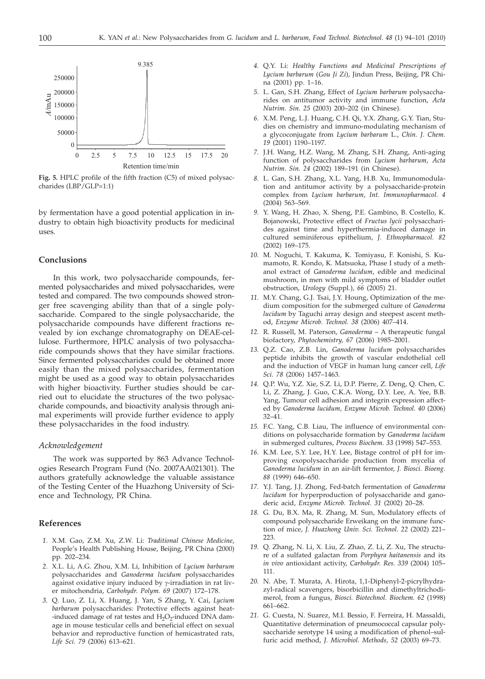

**Fig. 5.** HPLC profile of the fifth fraction (C5) of mixed polysaccharides (LBP/GLP=1:1)

by fermentation have a good potential application in industry to obtain high bioactivity products for medicinal uses.

# **Conclusions**

In this work, two polysaccharide compounds, fermented polysaccharides and mixed polysaccharides, were tested and compared. The two compounds showed stronger free scavenging ability than that of a single polysaccharide. Compared to the single polysaccharide, the polysaccharide compounds have different fractions revealed by ion exchange chromatography on DEAE-cellulose. Furthermore, HPLC analysis of two polysaccharide compounds shows that they have similar fractions. Since fermented polysaccharides could be obtained more easily than the mixed polysaccharides, fermentation might be used as a good way to obtain polysaccharides with higher bioactivity. Further studies should be carried out to elucidate the structures of the two polysaccharide compounds, and bioactivity analysis through animal experiments will provide further evidence to apply these polysaccharides in the food industry.

#### *Acknowledgement*

The work was supported by 863 Advance Technologies Research Program Fund (No. 2007AA021301). The authors gratefully acknowledge the valuable assistance of the Testing Center of the Huazhong University of Science and Technology, PR China.

# **References**

- *1.* X.M. Gao, Z.M. Xu, Z.W. Li: *Traditional Chinese Medicine*, People's Health Publishing House, Beijing, PR China (2000) pp. 202–234.
- *2.* X.L. Li, A.G. Zhou, X.M. Li, Inhibition of *Lycium barbarum* polysaccharides and *Ganoderma lucidum* polysaccharides against oxidative injury induced by  $\gamma$ -irradiation in rat liver mitochondria, *Carbohydr. Polym. 69* (2007) 172–178.
- *3.* Q. Luo, Z. Li, X. Huang, J. Yan, S Zhang, Y. Cai, *Lycium barbarum* polysaccharides: Protective effects against heat- -induced damage of rat testes and  $H_2O_2$ -induced DNA damage in mouse testicular cells and beneficial effect on sexual behavior and reproductive function of hemicastrated rats, *Life Sci. 79* (2006) 613–621.
- *4.* Q.Y. Li: *Healthy Functions and Medicinal Prescriptions of Lycium barbarum* (*Gou Ji Zi*), Jindun Press, Beijing, PR China (2001) pp. 1–16.
- *5.* L. Gan, S.H. Zhang, Effect of *Lycium barbarum* polysaccharides on antitumor activity and immune function, *Acta Nutrim. Sin. 25* (2003) 200–202 (in Chinese).
- *6.* X.M. Peng, L.J. Huang, C.H. Qi, Y.X. Zhang, G.Y. Tian, Studies on chemistry and immuno-modulating mechanism of a glycoconjugate from *Lycium barbarum* L., *Chin. J. Chem. 19* (2001) 1190–1197.
- *7.* J.H. Wang, H.Z. Wang, M. Zhang, S.H. Zhang, Anti-aging function of polysaccharides from *Lycium barbarum*, *Acta Nutrim. Sin. 24* (2002) 189–191 (in Chinese).
- *8.* L. Gan, S.H. Zhang, X.L. Yang, H.B. Xu, Immunomodulation and antitumor activity by a polysaccharide-protein complex from *Lycium barbarum*, *Int. Immunopharmacol. 4* (2004) 563–569.
- *9.* Y. Wang, H. Zhao, X. Sheng, P.E. Gambino, B. Costello, K. Bojanowski, Protective effect of *Fructus lycii* polysaccharides against time and hyperthermia-induced damage in cultured seminiferous epithelium, *J. Ethnopharmacol. 82* (2002) 169–175.
- *10.* M. Noguchi, T. Kakuma, K. Tomiyasu, F. Konishi, S. Kumamoto, R. Kondo, K. Matsuoka, Phase I study of a methanol extract of *Ganoderma lucidum*, edible and medicinal mushroom, in men with mild symptoms of bladder outlet obstruction, *Urology* (Suppl.), *66* (2005) 21.
- *11.* M.Y. Chang, G.J. Tsai, J.Y. Houng, Optimization of the medium composition for the submerged culture of *Ganoderma lucidum* by Taguchi array design and steepest ascent method, *Enzyme Microb. Technol. 38* (2006) 407–414.
- *12.* R. Russell, M. Paterson, *Ganoderma* A therapeutic fungal biofactory, *Phytochemistry, 67* (2006) 1985–2001.
- *13.* Q.Z. Cao, Z.B. Lin, *Ganoderma lucidum* polysaccharides peptide inhibits the growth of vascular endothelial cell and the induction of VEGF in human lung cancer cell, *Life Sci. 78* (2006) 1457–1463.
- *14.* Q.P. Wu, Y.Z. Xie, S.Z. Li, D.P. Pierre, Z. Deng, Q. Chen, C. Li, Z. Zhang, J. Guo, C.K.A. Wong, D.Y. Lee, A. Yee, B.B. Yang, Tumour cell adhesion and integrin expression affected by *Ganoderma lucidum, Enzyme Microb. Technol. 40* (2006) 32–41.
- *15.* F.C. Yang, C.B. Liau, The influence of environmental conditions on polysaccharide formation by *Ganoderma lucidum* in submerged cultures, *Process Biochem. 33* (1998) 547–553.
- *16.* K.M. Lee, S.Y. Lee, H.Y. Lee, Bistage control of pH for improving exopolysaccharide production from mycelia of *Ganoderma lucidum* in an air-lift fermentor, *J. Biosci. Bioeng. 88* (1999) 646–650.
- *17.* Y.J. Tang, J.J. Zhong, Fed-batch fermentation of *Ganoderma lucidum* for hyperproduction of polysaccharide and ganoderic acid, *Enzyme Microb. Technol. 31* (2002) 20–28.
- *18.* G. Du, B.X. Ma, R. Zhang, M. Sun, Modulatory effects of compound polysaccharide Erweikang on the immune function of mice, *J. Huazhong Univ. Sci. Technol. 22* (2002) 221– 223.
- *19.* Q. Zhang, N. Li, X. Liu, Z. Zhao, Z. Li, Z. Xu, The structure of a sulfated galactan from *Porphyra haitanensis* and its *in vivo* antioxidant activity, *Carbohydr. Res. 339* (2004) 105– 111.
- *20.* N. Abe, T. Murata, A. Hirota, 1,1-Diphenyl-2-picrylhydrazyl-radical scavengers, bisorbicillin and dimethyltrichodimerol, from a fungus, *Biosci. Biotechnol. Biochem. 62* (1998) 661–662.
- *21.* G. Cuesta, N. Suarez, M.I. Bessio, F. Ferreira, H. Massaldi, Quantitative determination of pneumococcal capsular polysaccharide serotype 14 using a modification of phenol–sulfuric acid method, *J. Microbiol. Methods, 52* (2003) 69–73.